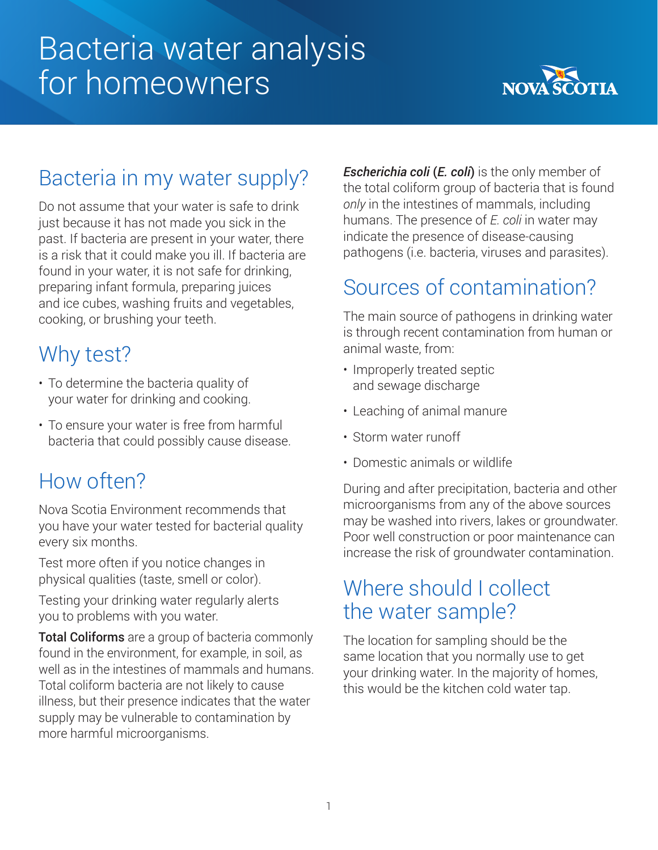# Bacteria water analysis for homeowners



# Bacteria in my water supply?

Do not assume that your water is safe to drink just because it has not made you sick in the past. If bacteria are present in your water, there is a risk that it could make you ill. If bacteria are found in your water, it is not safe for drinking, preparing infant formula, preparing juices and ice cubes, washing fruits and vegetables, cooking, or brushing your teeth.

# Why test?

- To determine the bacteria quality of your water for drinking and cooking.
- To ensure your water is free from harmful bacteria that could possibly cause disease.

# How often?

Nova Scotia Environment recommends that you have your water tested for bacterial quality every six months.

Test more often if you notice changes in physical qualities (taste, smell or color).

Testing your drinking water regularly alerts you to problems with you water.

Total Coliforms are a group of bacteria commonly found in the environment, for example, in soil, as well as in the intestines of mammals and humans. Total coliform bacteria are not likely to cause illness, but their presence indicates that the water supply may be vulnerable to contamination by more harmful microorganisms.

*Escherichia coli* (*E. coli*) is the only member of the total coliform group of bacteria that is found *only* in the intestines of mammals, including humans. The presence of *E. coli* in water may indicate the presence of disease-causing pathogens (i.e. bacteria, viruses and parasites).

### Sources of contamination?

The main source of pathogens in drinking water is through recent contamination from human or animal waste, from:

- Improperly treated septic and sewage discharge
- Leaching of animal manure
- Storm water runoff
- Domestic animals or wildlife

During and after precipitation, bacteria and other microorganisms from any of the above sources may be washed into rivers, lakes or groundwater. Poor well construction or poor maintenance can increase the risk of groundwater contamination.

### Where should I collect the water sample?

The location for sampling should be the same location that you normally use to get your drinking water. In the majority of homes, this would be the kitchen cold water tap.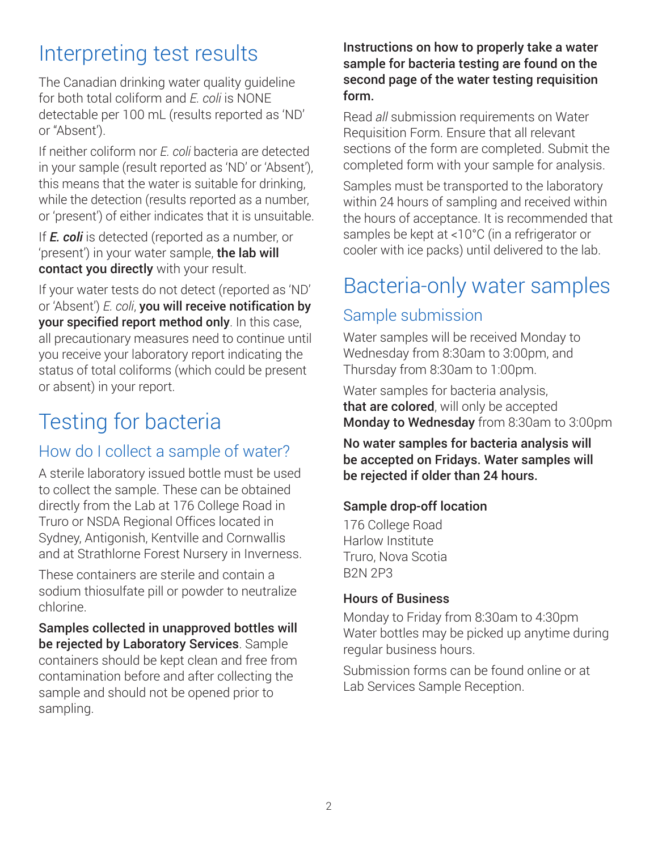# Interpreting test results

The Canadian drinking water quality guideline for both total coliform and *E. coli* is NONE detectable per 100 mL (results reported as 'ND' or "Absent').

If neither coliform nor *E. coli* bacteria are detected in your sample (result reported as 'ND' or 'Absent'), this means that the water is suitable for drinking, while the detection (results reported as a number, or 'present') of either indicates that it is unsuitable.

If *E. coli* is detected (reported as a number, or 'present') in your water sample, the lab will contact you directly with your result.

If your water tests do not detect (reported as 'ND' or 'Absent') *E. coli*, you will receive notification by your specified report method only. In this case, all precautionary measures need to continue until you receive your laboratory report indicating the status of total coliforms (which could be present or absent) in your report.

# Testing for bacteria

### How do I collect a sample of water?

A sterile laboratory issued bottle must be used to collect the sample. These can be obtained directly from the Lab at 176 College Road in Truro or NSDA Regional Offices located in Sydney, Antigonish, Kentville and Cornwallis and at Strathlorne Forest Nursery in Inverness.

These containers are sterile and contain a sodium thiosulfate pill or powder to neutralize chlorine.

Samples collected in unapproved bottles will be rejected by Laboratory Services. Sample containers should be kept clean and free from contamination before and after collecting the sample and should not be opened prior to sampling.

Instructions on how to properly take a water sample for bacteria testing are found on the second page of the water testing requisition form.

Read *all* submission requirements on Water Requisition Form. Ensure that all relevant sections of the form are completed. Submit the completed form with your sample for analysis.

Samples must be transported to the laboratory within 24 hours of sampling and received within the hours of acceptance. It is recommended that samples be kept at <10°C (in a refrigerator or cooler with ice packs) until delivered to the lab.

### Bacteria-only water samples

### Sample submission

Water samples will be received Monday to Wednesday from 8:30am to 3:00pm, and Thursday from 8:30am to 1:00pm.

Water samples for bacteria analysis, that are colored, will only be accepted Monday to Wednesday from 8:30am to 3:00pm

No water samples for bacteria analysis will be accepted on Fridays. Water samples will be rejected if older than 24 hours.

### Sample drop-off location

176 College Road Harlow Institute Truro, Nova Scotia B2N 2P3

### Hours of Business

Monday to Friday from 8:30am to 4:30pm Water bottles may be picked up anytime during regular business hours.

Submission forms can be found online or at Lab Services Sample Reception.